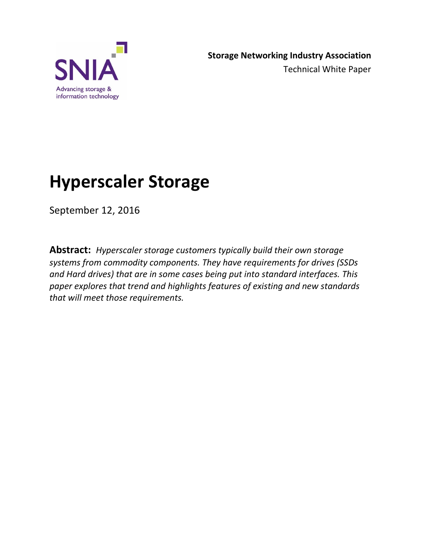

# **Hyperscaler Storage**

September 12, 2016

**Abstract:** *Hyperscaler storage customers typically build their own storage systems from commodity components. They have requirements for drives (SSDs and Hard drives) that are in some cases being put into standard interfaces. This paper explores that trend and highlights features of existing and new standards that will meet those requirements.*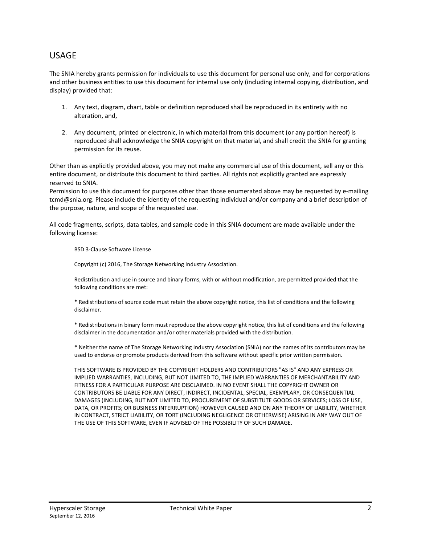#### USAGE

The SNIA hereby grants permission for individuals to use this document for personal use only, and for corporations and other business entities to use this document for internal use only (including internal copying, distribution, and display) provided that:

- 1. Any text, diagram, chart, table or definition reproduced shall be reproduced in its entirety with no alteration, and,
- 2. Any document, printed or electronic, in which material from this document (or any portion hereof) is reproduced shall acknowledge the SNIA copyright on that material, and shall credit the SNIA for granting permission for its reuse.

Other than as explicitly provided above, you may not make any commercial use of this document, sell any or this entire document, or distribute this document to third parties. All rights not explicitly granted are expressly reserved to SNIA.

Permission to use this document for purposes other than those enumerated above may be requested by e-mailing tcmd@snia.org. Please include the identity of the requesting individual and/or company and a brief description of the purpose, nature, and scope of the requested use.

All code fragments, scripts, data tables, and sample code in this SNIA document are made available under the following license:

BSD 3-Clause Software License

Copyright (c) 2016, The Storage Networking Industry Association.

Redistribution and use in source and binary forms, with or without modification, are permitted provided that the following conditions are met:

\* Redistributions of source code must retain the above copyright notice, this list of conditions and the following disclaimer.

\* Redistributions in binary form must reproduce the above copyright notice, this list of conditions and the following disclaimer in the documentation and/or other materials provided with the distribution.

\* Neither the name of The Storage Networking Industry Association (SNIA) nor the names of its contributors may be used to endorse or promote products derived from this software without specific prior written permission.

THIS SOFTWARE IS PROVIDED BY THE COPYRIGHT HOLDERS AND CONTRIBUTORS "AS IS" AND ANY EXPRESS OR IMPLIED WARRANTIES, INCLUDING, BUT NOT LIMITED TO, THE IMPLIED WARRANTIES OF MERCHANTABILITY AND FITNESS FOR A PARTICULAR PURPOSE ARE DISCLAIMED. IN NO EVENT SHALL THE COPYRIGHT OWNER OR CONTRIBUTORS BE LIABLE FOR ANY DIRECT, INDIRECT, INCIDENTAL, SPECIAL, EXEMPLARY, OR CONSEQUENTIAL DAMAGES (INCLUDING, BUT NOT LIMITED TO, PROCUREMENT OF SUBSTITUTE GOODS OR SERVICES; LOSS OF USE, DATA, OR PROFITS; OR BUSINESS INTERRUPTION) HOWEVER CAUSED AND ON ANY THEORY OF LIABILITY, WHETHER IN CONTRACT, STRICT LIABILITY, OR TORT (INCLUDING NEGLIGENCE OR OTHERWISE) ARISING IN ANY WAY OUT OF THE USE OF THIS SOFTWARE, EVEN IF ADVISED OF THE POSSIBILITY OF SUCH DAMAGE.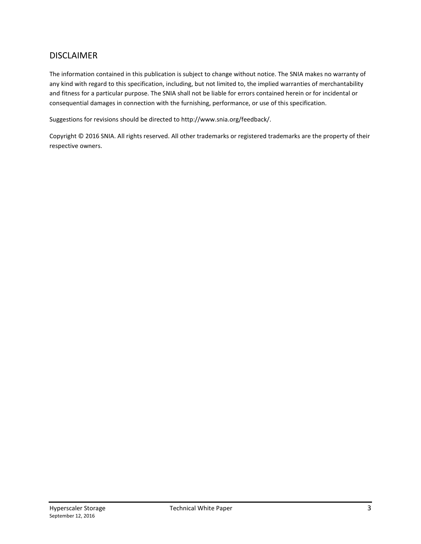#### DISCLAIMER

The information contained in this publication is subject to change without notice. The SNIA makes no warranty of any kind with regard to this specification, including, but not limited to, the implied warranties of merchantability and fitness for a particular purpose. The SNIA shall not be liable for errors contained herein or for incidental or consequential damages in connection with the furnishing, performance, or use of this specification.

Suggestions for revisions should be directed to http://www.snia.org/feedback/.

Copyright © 2016 SNIA. All rights reserved. All other trademarks or registered trademarks are the property of their respective owners.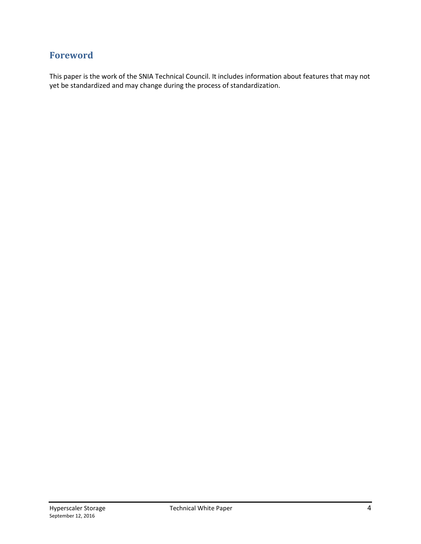#### **Foreword**

This paper is the work of the SNIA Technical Council. It includes information about features that may not yet be standardized and may change during the process of standardization.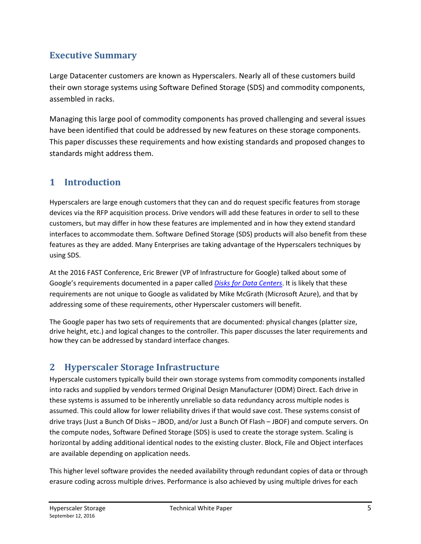#### **Executive Summary**

Large Datacenter customers are known as Hyperscalers. Nearly all of these customers build their own storage systems using Software Defined Storage (SDS) and commodity components, assembled in racks.

Managing this large pool of commodity components has proved challenging and several issues have been identified that could be addressed by new features on these storage components. This paper discusses these requirements and how existing standards and proposed changes to standards might address them.

## **1 Introduction**

Hyperscalers are large enough customers that they can and do request specific features from storage devices via the RFP acquisition process. Drive vendors will add these features in order to sell to these customers, but may differ in how these features are implemented and in how they extend standard interfaces to accommodate them. Software Defined Storage (SDS) products will also benefit from these features as they are added. Many Enterprises are taking advantage of the Hyperscalers techniques by using SDS.

At the 2016 FAST Conference, Eric Brewer (VP of Infrastructure for Google) talked about some of Google's requirements documented in a paper called *[Disks for Data Centers](https://research.google.com/pubs/archive/44830.pdf)*. It is likely that these requirements are not unique to Google as validated by Mike McGrath (Microsoft Azure), and that by addressing some of these requirements, other Hyperscaler customers will benefit.

The Google paper has two sets of requirements that are documented: physical changes (platter size, drive height, etc.) and logical changes to the controller. This paper discusses the later requirements and how they can be addressed by standard interface changes.

## **2 Hyperscaler Storage Infrastructure**

Hyperscale customers typically build their own storage systems from commodity components installed into racks and supplied by vendors termed Original Design Manufacturer (ODM) Direct. Each drive in these systems is assumed to be inherently unreliable so data redundancy across multiple nodes is assumed. This could allow for lower reliability drives if that would save cost. These systems consist of drive trays (Just a Bunch Of Disks – JBOD, and/or Just a Bunch Of Flash – JBOF) and compute servers. On the compute nodes, Software Defined Storage (SDS) is used to create the storage system. Scaling is horizontal by adding additional identical nodes to the existing cluster. Block, File and Object interfaces are available depending on application needs.

This higher level software provides the needed availability through redundant copies of data or through erasure coding across multiple drives. Performance is also achieved by using multiple drives for each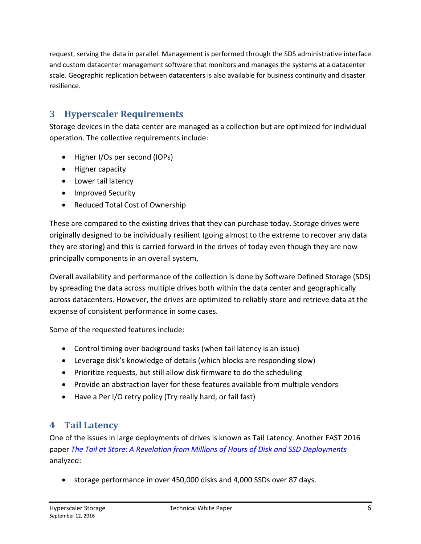request, serving the data in parallel. Management is performed through the SDS administrative interface and custom datacenter management software that monitors and manages the systems at a datacenter scale. Geographic replication between datacenters is also available for business continuity and disaster resilience.

## **3 Hyperscaler Requirements**

Storage devices in the data center are managed as a collection but are optimized for individual operation. The collective requirements include:

- Higher I/Os per second (IOPs)
- Higher capacity
- Lower tail latency
- Improved Security
- Reduced Total Cost of Ownership

These are compared to the existing drives that they can purchase today. Storage drives were originally designed to be individually resilient (going almost to the extreme to recover any data they are storing) and this is carried forward in the drives of today even though they are now principally components in an overall system,

Overall availability and performance of the collection is done by Software Defined Storage (SDS) by spreading the data across multiple drives both within the data center and geographically across datacenters. However, the drives are optimized to reliably store and retrieve data at the expense of consistent performance in some cases.

Some of the requested features include:

- Control timing over background tasks (when tail latency is an issue)
- Leverage disk's knowledge of details (which blocks are responding slow)
- Prioritize requests, but still allow disk firmware to do the scheduling
- Provide an abstraction layer for these features available from multiple vendors
- Have a Per I/O retry policy (Try really hard, or fail fast)

#### **4 Tail Latency**

One of the issues in large deployments of drives is known as Tail Latency. Another FAST 2016 paper *[The Tail at Store: A Revelation from Millions of Hours of Disk and SSD Deployments](https://www.usenix.org/conference/fast16/technical-sessions/presentation/hao)* analyzed:

• storage performance in over 450,000 disks and 4,000 SSDs over 87 days.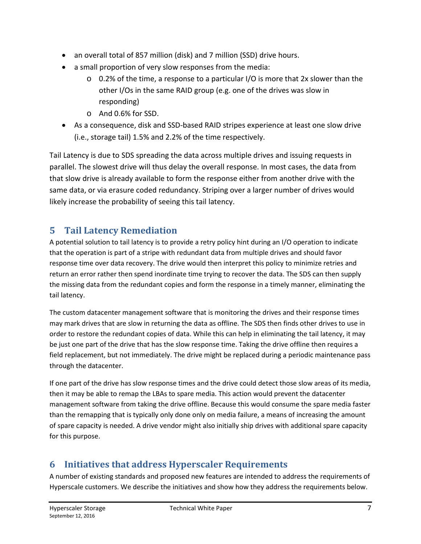- an overall total of 857 million (disk) and 7 million (SSD) drive hours.
- a small proportion of very slow responses from the media:
	- o 0.2% of the time, a response to a particular I/O is more that 2x slower than the other I/Os in the same RAID group (e.g. one of the drives was slow in responding)
	- o And 0.6% for SSD.
- As a consequence, disk and SSD-based RAID stripes experience at least one slow drive (i.e., storage tail) 1.5% and 2.2% of the time respectively.

Tail Latency is due to SDS spreading the data across multiple drives and issuing requests in parallel. The slowest drive will thus delay the overall response. In most cases, the data from that slow drive is already available to form the response either from another drive with the same data, or via erasure coded redundancy. Striping over a larger number of drives would likely increase the probability of seeing this tail latency.

#### **5 Tail Latency Remediation**

A potential solution to tail latency is to provide a retry policy hint during an I/O operation to indicate that the operation is part of a stripe with redundant data from multiple drives and should favor response time over data recovery. The drive would then interpret this policy to minimize retries and return an error rather then spend inordinate time trying to recover the data. The SDS can then supply the missing data from the redundant copies and form the response in a timely manner, eliminating the tail latency.

The custom datacenter management software that is monitoring the drives and their response times may mark drives that are slow in returning the data as offline. The SDS then finds other drives to use in order to restore the redundant copies of data. While this can help in eliminating the tail latency, it may be just one part of the drive that has the slow response time. Taking the drive offline then requires a field replacement, but not immediately. The drive might be replaced during a periodic maintenance pass through the datacenter.

If one part of the drive has slow response times and the drive could detect those slow areas of its media, then it may be able to remap the LBAs to spare media. This action would prevent the datacenter management software from taking the drive offline. Because this would consume the spare media faster than the remapping that is typically only done only on media failure, a means of increasing the amount of spare capacity is needed. A drive vendor might also initially ship drives with additional spare capacity for this purpose.

#### **6 Initiatives that address Hyperscaler Requirements**

A number of existing standards and proposed new features are intended to address the requirements of Hyperscale customers. We describe the initiatives and show how they address the requirements below.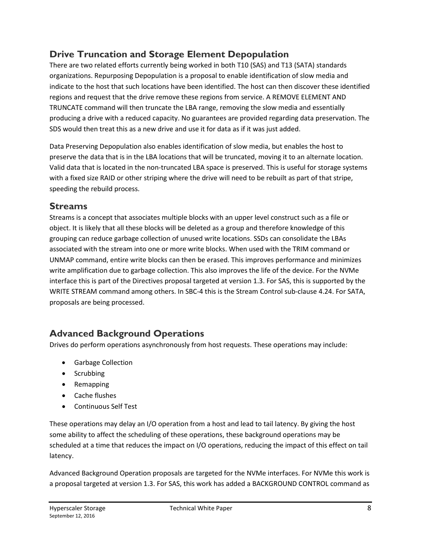## **Drive Truncation and Storage Element Depopulation**

There are two related efforts currently being worked in both T10 (SAS) and T13 (SATA) standards organizations. Repurposing Depopulation is a proposal to enable identification of slow media and indicate to the host that such locations have been identified. The host can then discover these identified regions and request that the drive remove these regions from service. A REMOVE ELEMENT AND TRUNCATE command will then truncate the LBA range, removing the slow media and essentially producing a drive with a reduced capacity. No guarantees are provided regarding data preservation. The SDS would then treat this as a new drive and use it for data as if it was just added.

Data Preserving Depopulation also enables identification of slow media, but enables the host to preserve the data that is in the LBA locations that will be truncated, moving it to an alternate location. Valid data that is located in the non-truncated LBA space is preserved. This is useful for storage systems with a fixed size RAID or other striping where the drive will need to be rebuilt as part of that stripe, speeding the rebuild process.

#### **Streams**

Streams is a concept that associates multiple blocks with an upper level construct such as a file or object. It is likely that all these blocks will be deleted as a group and therefore knowledge of this grouping can reduce garbage collection of unused write locations. SSDs can consolidate the LBAs associated with the stream into one or more write blocks. When used with the TRIM command or UNMAP command, entire write blocks can then be erased. This improves performance and minimizes write amplification due to garbage collection. This also improves the life of the device. For the NVMe interface this is part of the Directives proposal targeted at version 1.3. For SAS, this is supported by the WRITE STREAM command among others. In SBC-4 this is the Stream Control sub-clause 4.24. For SATA, proposals are being processed.

## **Advanced Background Operations**

Drives do perform operations asynchronously from host requests. These operations may include:

- Garbage Collection
- Scrubbing
- Remapping
- Cache flushes
- Continuous Self Test

These operations may delay an I/O operation from a host and lead to tail latency. By giving the host some ability to affect the scheduling of these operations, these background operations may be scheduled at a time that reduces the impact on I/O operations, reducing the impact of this effect on tail latency.

Advanced Background Operation proposals are targeted for the NVMe interfaces. For NVMe this work is a proposal targeted at version 1.3. For SAS, this work has added a BACKGROUND CONTROL command as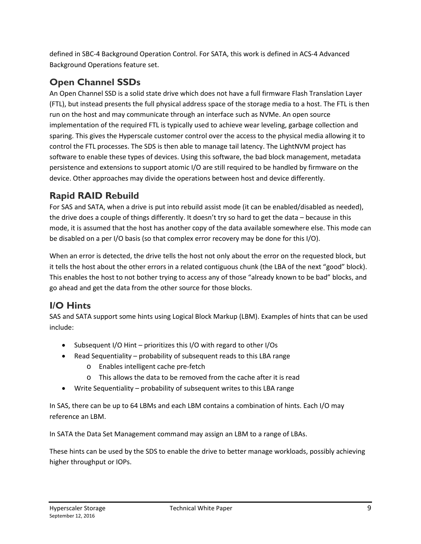defined in SBC-4 Background Operation Control. For SATA, this work is defined in ACS-4 Advanced Background Operations feature set.

# **Open Channel SSDs**

An Open Channel SSD is a solid state drive which does not have a full firmware Flash Translation Layer (FTL), but instead presents the full physical address space of the storage media to a host. The FTL is then run on the host and may communicate through an interface such as NVMe. An open source implementation of the required FTL is typically used to achieve wear leveling, garbage collection and sparing. This gives the Hyperscale customer control over the access to the physical media allowing it to control the FTL processes. The SDS is then able to manage tail latency. Th[e LightNVM](http://lightnvm.io/) project has software to enable these types of devices. Using this software, the bad block management, metadata persistence and extensions to support atomic I/O are still required to be handled by firmware on the device. Other approaches may divide the operations between host and device differently.

# **Rapid RAID Rebuild**

For SAS and SATA, when a drive is put into rebuild assist mode (it can be enabled/disabled as needed), the drive does a couple of things differently. It doesn't try so hard to get the data – because in this mode, it is assumed that the host has another copy of the data available somewhere else. This mode can be disabled on a per I/O basis (so that complex error recovery may be done for this I/O).

When an error is detected, the drive tells the host not only about the error on the requested block, but it tells the host about the other errors in a related contiguous chunk (the LBA of the next "good" block). This enables the host to not bother trying to access any of those "already known to be bad" blocks, and go ahead and get the data from the other source for those blocks.

# **I/O Hints**

SAS and SATA support some hints using Logical Block Markup (LBM). Examples of hints that can be used include:

- Subsequent I/O Hint prioritizes this I/O with regard to other I/Os
- Read Sequentiality probability of subsequent reads to this LBA range
	- o Enables intelligent cache pre-fetch
	- o This allows the data to be removed from the cache after it is read
- Write Sequentiality probability of subsequent writes to this LBA range

In SAS, there can be up to 64 LBMs and each LBM contains a combination of hints. Each I/O may reference an LBM.

In SATA the Data Set Management command may assign an LBM to a range of LBAs.

These hints can be used by the SDS to enable the drive to better manage workloads, possibly achieving higher throughput or IOPs.